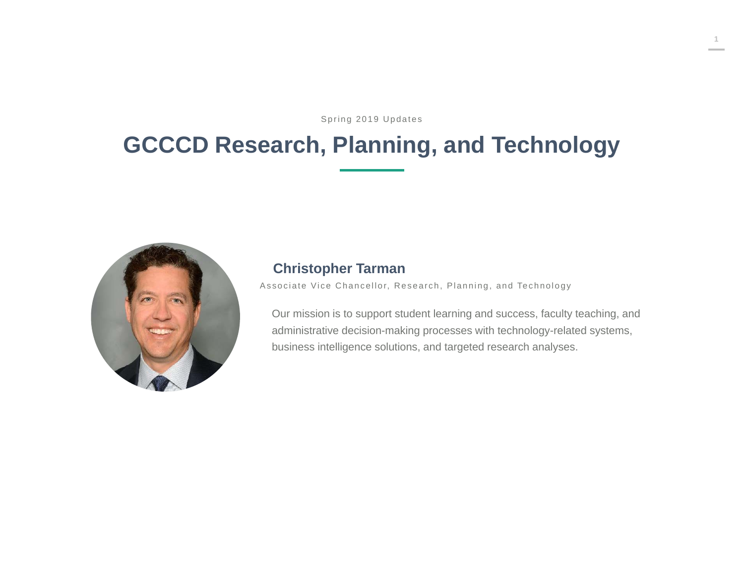Spring 2019 Updates

# **GCCCD Research, Planning, and Technology**



#### **Christopher Tarman**

Associate Vice Chancellor, Research, Planning, and Technology

Our mission is to support student learning and success, faculty teaching, and administrative decision-making processes with technology-related systems, business intelligence solutions, and targeted research analyses.

**1**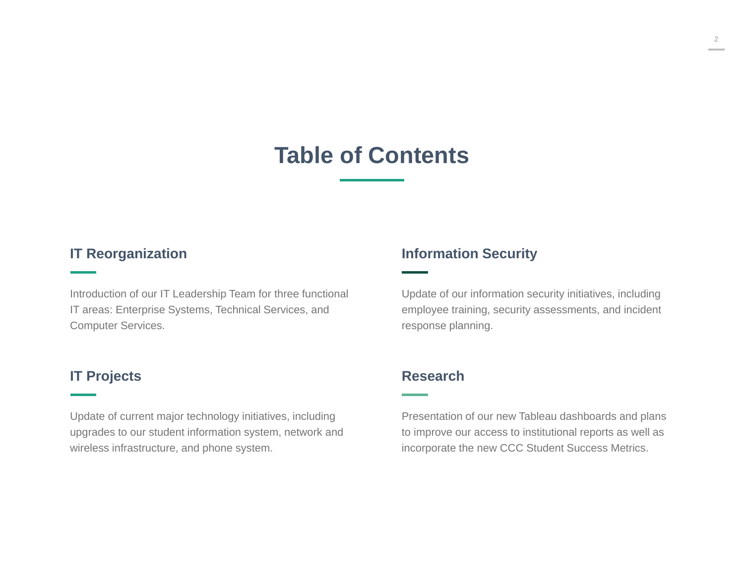### **Table of Contents**

#### **IT Reorganization**

Introduction of our IT Leadership Team for three functional IT areas: Enterprise Systems, Technical Services, and Computer Services.

#### **IT Projects**

Update of current major technology initiatives, including upgrades to our student information system, network and wireless infrastructure, and phone system.

#### **Information Security**

Update of our information security initiatives, including employee training, security assessments, and incident response planning.

#### **Research**

Presentation of our new Tableau dashboards and plans to improve our access to institutional reports as well as incorporate the new CCC Student Success Metrics.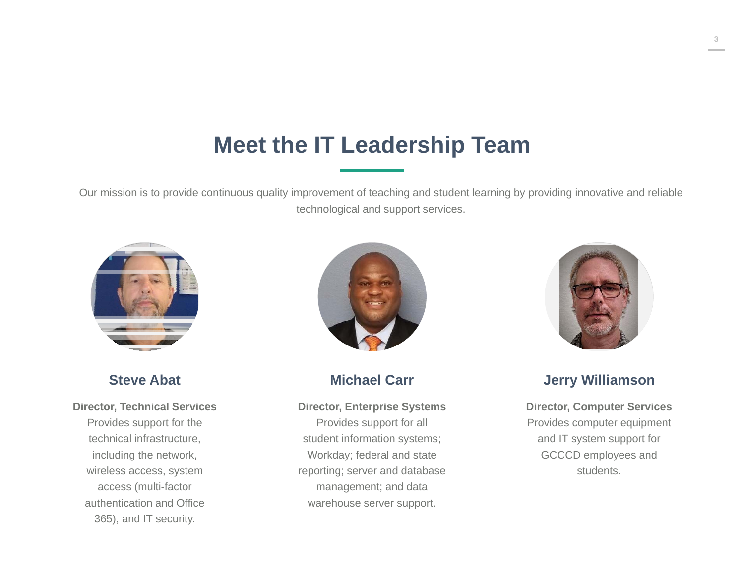### **Meet the IT Leadership Team**

Our mission is to provide continuous quality improvement of teaching and student learning by providing innovative and reliable technological and support services.



**Steve Abat**

**Director, Technical Services** Provides support for the technical infrastructure, including the network, wireless access, system access (multi-factor authentication and Office 365), and IT security.



**Michael Carr**

**Director, Enterprise Systems**

Provides support for all student information systems; Workday; federal and state reporting; server and database management; and data warehouse server support.



**Jerry Williamson**

**Director, Computer Services** Provides computer equipment and IT system support for GCCCD employees and students.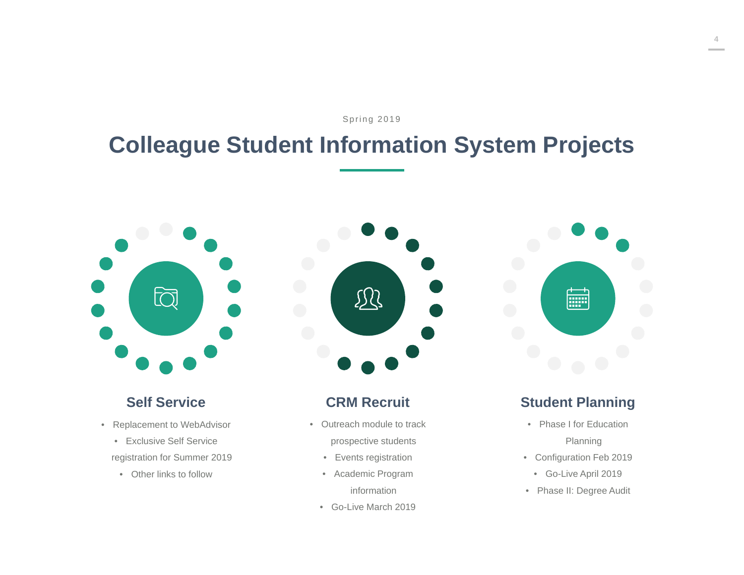Spring 2019

# **Colleague Student Information System Projects**



#### **Self Service**

- Replacement to WebAdvisor
	- Exclusive Self Service

registration for Summer 2019

• Other links to follow



#### **CRM Recruit**

- Outreach module to track prospective students
	- Events registration
	- Academic Program
		- information
	- Go-Live March 2019



#### **Student Planning**

- Phase I for Education Planning
- Configuration Feb 2019
	- Go-Live April 2019
- Phase II: Degree Audit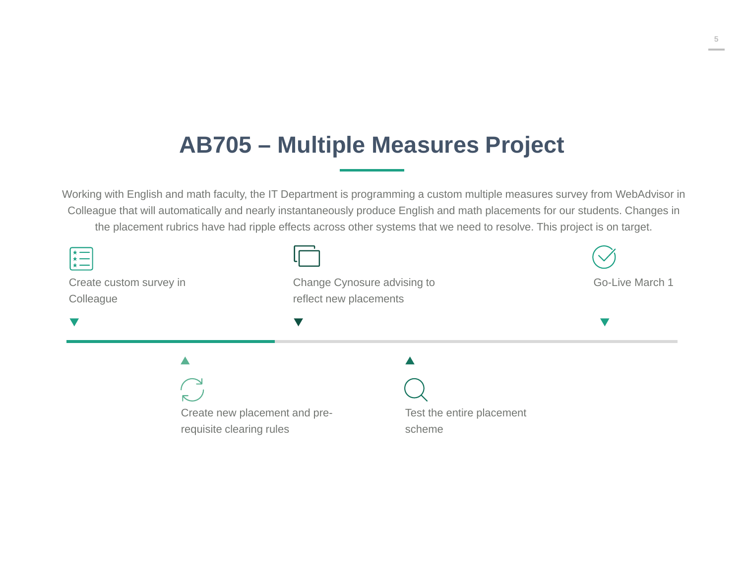# **AB705 – Multiple Measures Project**

Working with English and math faculty, the IT Department is programming a custom multiple measures survey from WebAdvisor in Colleague that will automatically and nearly instantaneously produce English and math placements for our students. Changes in the placement rubrics have had ripple effects across other systems that we need to resolve. This project is on target.

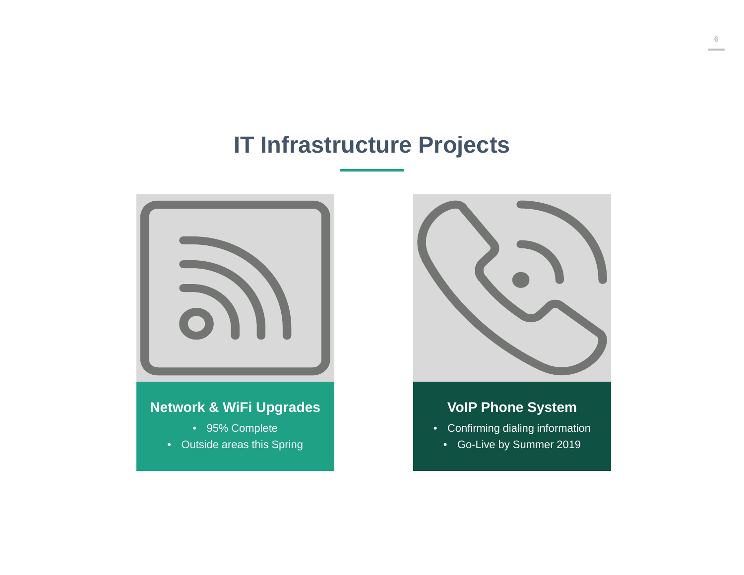### **IT Infrastructure Projects**



- 95% Complete
- Outside areas this Spring



### **VoIP Phone System**

- • Confirming dialing information
	- Go-Live by Summer 2019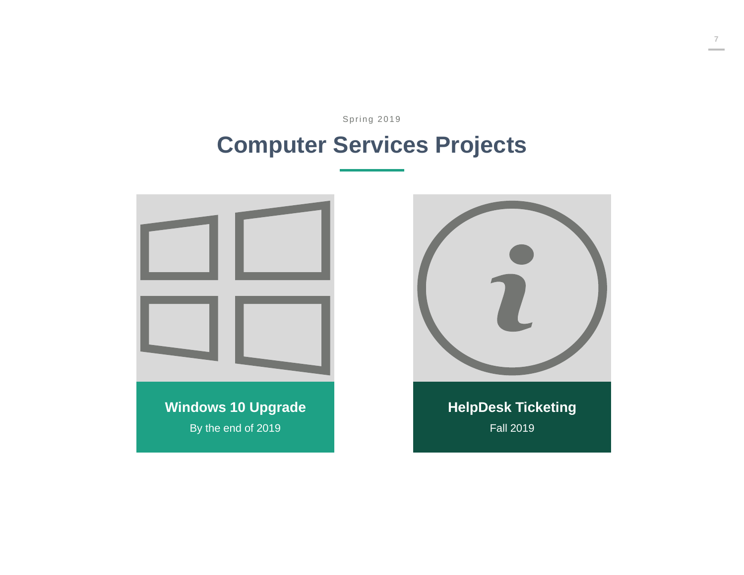Spring 2019

# **Computer Services Projects**

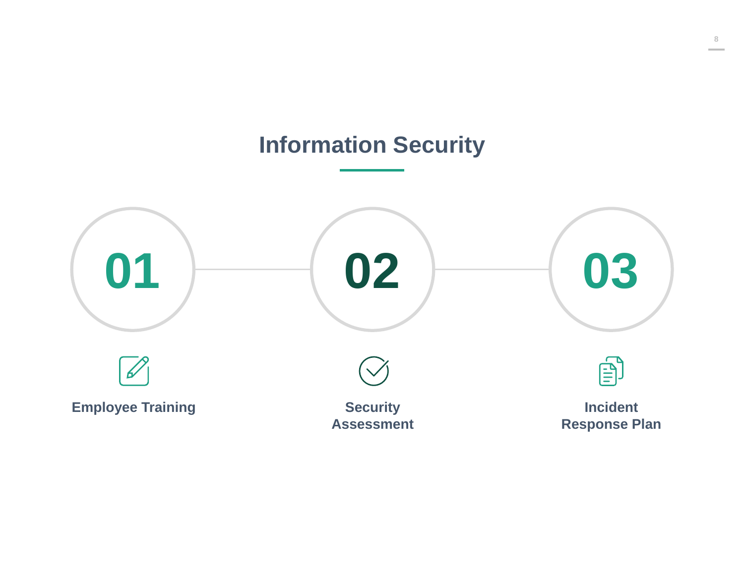### **Information Security**

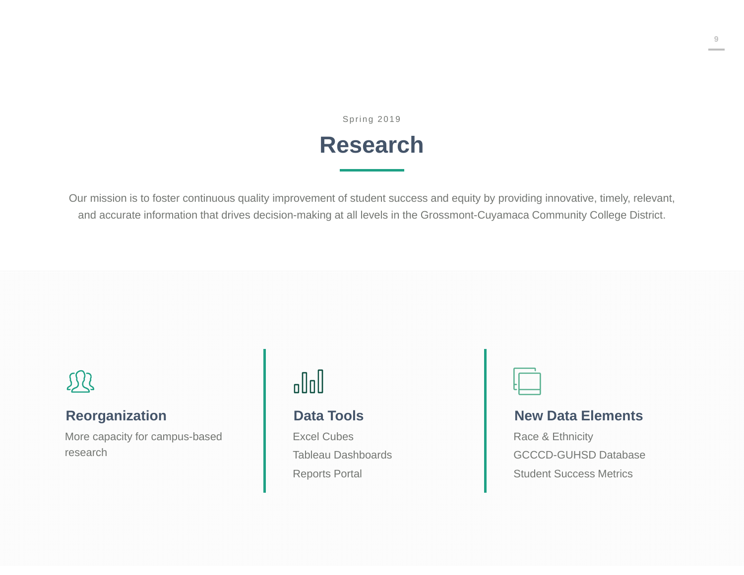Spring 2019

### **Research**

Our mission is to foster continuous quality improvement of student success and equity by providing innovative, timely, relevant, and accurate information that drives decision-making at all levels in the Grossmont-Cuyamaca Community College District.

# S Q

#### **Reorganization**

More capacity for campus-based research

# $\mathbb{d}$

#### **Data Tools**

Excel CubesTableau DashboardsReports Portal



#### **New Data Elements**

Race & Ethnicity GCCCD-GUHSD DatabaseStudent Success Metrics